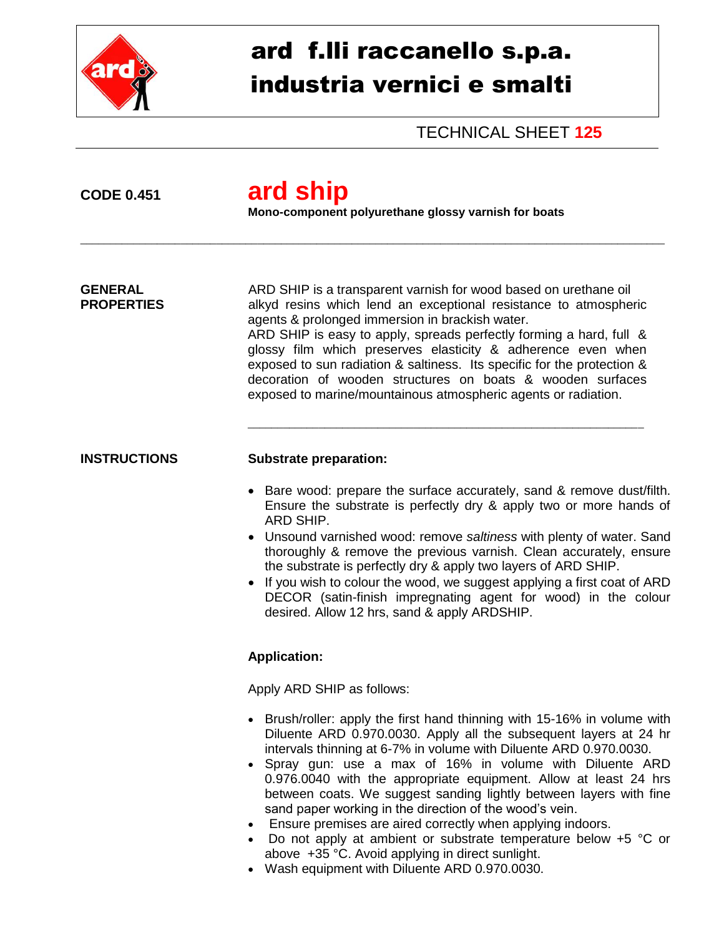

# ard f.lli raccanello s.p.a. industria vernici e smalti

TECHNICAL SHEET **125**

## **CODE 0.451 ard ship**

**Mono-component polyurethane glossy varnish for boats**

\_\_\_\_\_\_\_\_\_\_\_\_\_\_\_\_\_\_\_\_\_\_\_\_\_\_\_\_\_\_\_\_\_\_\_\_\_\_\_\_\_\_\_\_\_\_\_\_\_\_\_\_\_\_\_\_\_\_\_\_\_\_\_\_\_\_\_\_\_\_\_\_\_\_\_\_\_\_\_\_\_\_\_\_\_\_\_\_\_\_\_\_\_\_\_\_\_\_\_

**GENERAL** ARD SHIP is a transparent varnish for wood based on urethane oil **PROPERTIES** alkyd resins which lend an exceptional resistance to atmospheric agents & prolonged immersion in brackish water.

ARD SHIP is easy to apply, spreads perfectly forming a hard, full & glossy film which preserves elasticity & adherence even when exposed to sun radiation & saltiness. Its specific for the protection & decoration of wooden structures on boats & wooden surfaces exposed to marine/mountainous atmospheric agents or radiation.

\_\_\_\_\_\_\_\_\_\_\_\_\_\_\_\_\_\_\_\_\_\_\_\_\_\_\_\_\_\_\_\_\_\_\_\_\_\_\_\_\_\_\_\_\_\_\_\_\_\_\_\_\_\_\_\_\_\_\_\_\_\_\_\_\_\_\_

### **INSTRUCTIONS Substrate preparation:**

- Bare wood: prepare the surface accurately, sand & remove dust/filth. Ensure the substrate is perfectly dry & apply two or more hands of ARD SHIP.
- Unsound varnished wood: remove *saltiness* with plenty of water. Sand thoroughly & remove the previous varnish. Clean accurately, ensure the substrate is perfectly dry & apply two layers of ARD SHIP.
- If you wish to colour the wood, we suggest applying a first coat of ARD DECOR (satin-finish impregnating agent for wood) in the colour desired. Allow 12 hrs, sand & apply ARDSHIP.

### **Application:**

Apply ARD SHIP as follows:

- Brush/roller: apply the first hand thinning with 15-16% in volume with Diluente ARD 0.970.0030. Apply all the subsequent layers at 24 hr intervals thinning at 6-7% in volume with Diluente ARD 0.970.0030.
- Spray gun: use a max of 16% in volume with Diluente ARD 0.976.0040 with the appropriate equipment. Allow at least 24 hrs between coats. We suggest sanding lightly between layers with fine sand paper working in the direction of the wood's vein.
- Ensure premises are aired correctly when applying indoors.
- Do not apply at ambient or substrate temperature below +5 °C or above +35 °C. Avoid applying in direct sunlight.
- Wash equipment with Diluente ARD 0.970.0030.